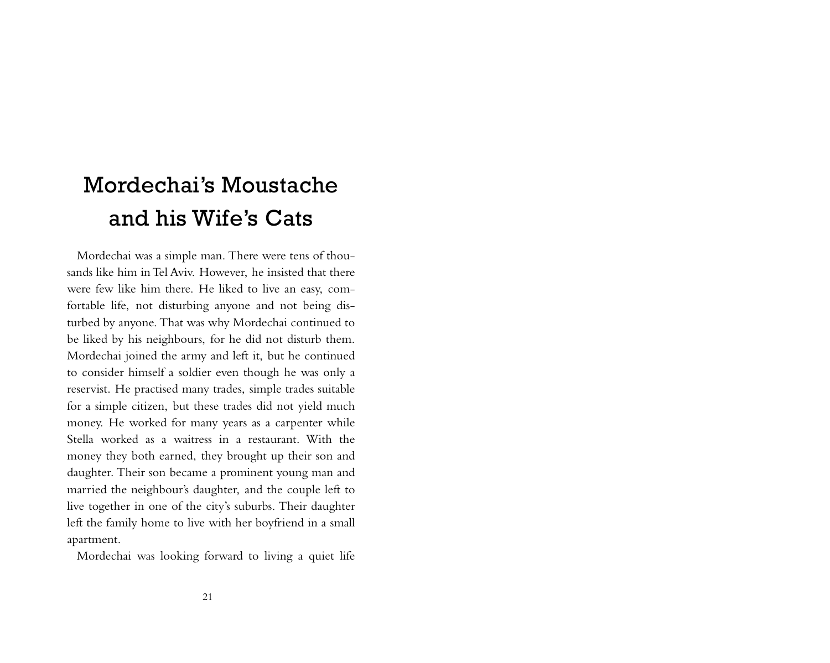## Mordechai's Moustache and his Wife's Cats

Mordechai was a simple man. There were tens of thousands like him inTel Aviv. However, he insisted that there were few like him there. He liked to live an easy, comfortable life, not disturbing anyone and not being disturbed by anyone. That was why Mordechai continued to be liked by his neighbours, for he did not disturb them. Mordechai joined the army and left it, but he continued to consider himself a soldier even though he was only a reservist. He practised many trades, simple trades suitable for a simple citizen, but these trades did not yield much money. He worked for many years as a carpenter while Stella worked as a waitress in a restaurant. With the money they both earned, they brought up their son and daughter. Their son became a prominent young man and married the neighbour's daughter, and the couple left to live together in one of the city's suburbs. Their daughter left the family home to live with her boyfriend in a small apartment.

Mordechai was looking forward to living a quiet life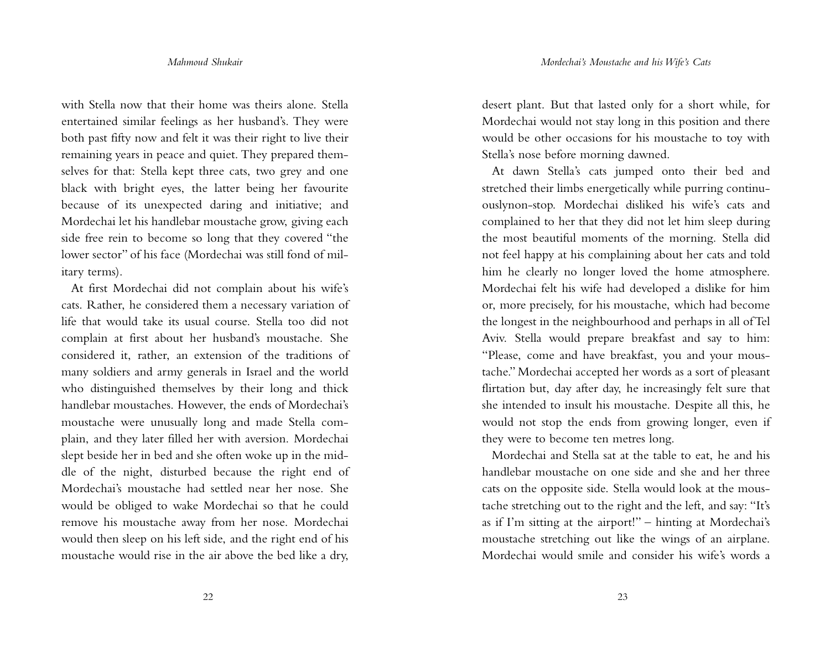with Stella now that their home was theirs alone. Stella entertained similar feelings as her husband's. They were both past fifty now and felt it was their right to live their remaining years in peace and quiet. They prepared themselves for that: Stella kept three cats, two grey and one black with bright eyes, the latter being her favourite because of its unexpected daring and initiative; and Mordechai let his handlebar moustache grow, giving each side free rein to become so long that they covered "the lower sector" of his face (Mordechai was still fond of military terms).

At first Mordechai did not complain about his wife's cats. Rather, he considered them a necessary variation of life that would take its usual course. Stella too did not complain at first about her husband's moustache. She considered it, rather, an extension of the traditions of many soldiers and army generals in Israel and the world who distinguished themselves by their long and thick handlebar moustaches. However, the ends of Mordechai's moustache were unusually long and made Stella complain, and they later filled her with aversion. Mordechai slept beside her in bed and she often woke up in the middle of the night, disturbed because the right end of Mordechai's moustache had settled near her nose. She would be obliged to wake Mordechai so that he could remove his moustache away from her nose. Mordechai would then sleep on his left side, and the right end of his moustache would rise in the air above the bed like a dry,

desert plant. But that lasted only for a short while, for Mordechai would not stay long in this position and there would be other occasions for his moustache to toy with Stella's nose before morning dawned.

At dawn Stella's cats jumped onto their bed and stretched their limbs energetically while purring continuouslynon-stop. Mordechai disliked his wife's cats and complained to her that they did not let him sleep during the most beautiful moments of the morning. Stella did not feel happy at his complaining about her cats and told him he clearly no longer loved the home atmosphere. Mordechai felt his wife had developed a dislike for him or, more precisely, for his moustache, which had become the longest in the neighbourhood and perhaps in all ofTel Aviv. Stella would prepare breakfast and say to him: "Please, come and have breakfast, you and your moustache." Mordechai accepted her words as a sort of pleasant flirtation but, day after day, he increasingly felt sure that she intended to insult his moustache. Despite all this, he would not stop the ends from growing longer, even if they were to become ten metres long.

Mordechai and Stella sat at the table to eat, he and his handlebar moustache on one side and she and her three cats on the opposite side. Stella would look at the moustache stretching out to the right and the left, and say: "It's as if I'm sitting at the airport!" – hinting at Mordechai's moustache stretching out like the wings of an airplane. Mordechai would smile and consider his wife's words a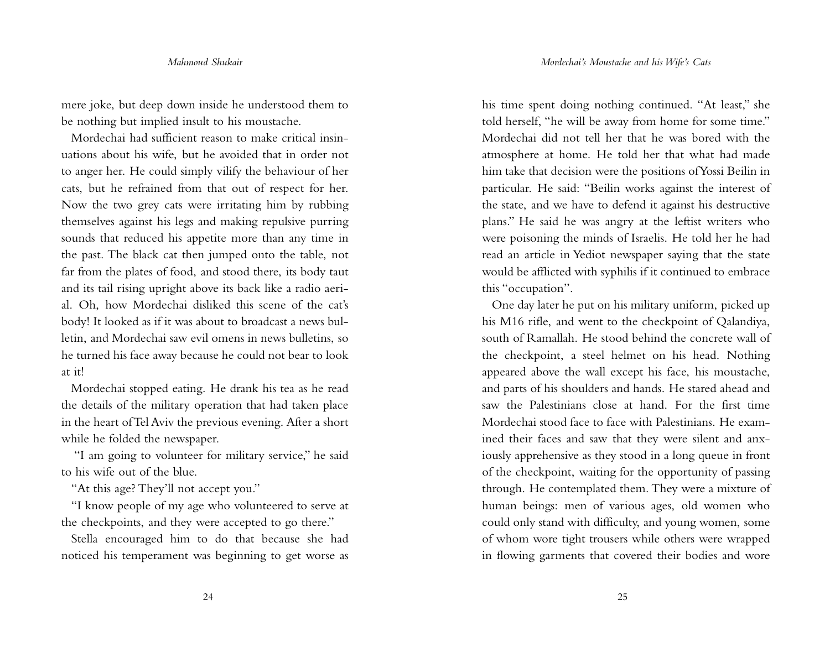mere joke, but deep down inside he understood them to be nothing but implied insult to his moustache.

Mordechai had sufficient reason to make critical insinuations about his wife, but he avoided that in order not to anger her. He could simply vilify the behaviour of her cats, but he refrained from that out of respect for her. Now the two grey cats were irritating him by rubbing themselves against his legs and making repulsive purring sounds that reduced his appetite more than any time in the past. The black cat then jumped onto the table, not far from the plates of food, and stood there, its body taut and its tail rising upright above its back like a radio aerial. Oh, how Mordechai disliked this scene of the cat's body! It looked as if it was about to broadcast a news bulletin, and Mordechai saw evil omens in news bulletins, so he turned his face away because he could not bear to look at it!

Mordechai stopped eating. He drank his tea as he read the details of the military operation that had taken place in the heart ofTel Aviv the previous evening. After a short while he folded the newspaper.

"I am going to volunteer for military service," he said to his wife out of the blue.

"At this age? They'll not accept you."

"I know people of my age who volunteered to serve at the checkpoints, and they were accepted to go there."

Stella encouraged him to do that because she had noticed his temperament was beginning to get worse as

his time spent doing nothing continued. "At least," she told herself, "he will be away from home for some time." Mordechai did not tell her that he was bored with the atmosphere at home. He told her that what had made him take that decision were the positions ofYossi Beilin in particular. He said: "Beilin works against the interest of the state, and we have to defend it against his destructive plans." He said he was angry at the leftist writers who were poisoning the minds of Israelis. He told her he had read an article in Yediot newspaper saying that the state would be afflicted with syphilis if it continued to embrace this "occupation".

One day later he put on his military uniform, picked up his M16 rifle, and went to the checkpoint of Qalandiya, south of Ramallah. He stood behind the concrete wall of the checkpoint, a steel helmet on his head. Nothing appeared above the wall except his face, his moustache, and parts of his shoulders and hands. He stared ahead and saw the Palestinians close at hand. For the first time Mordechai stood face to face with Palestinians. He examined their faces and saw that they were silent and anxiously apprehensive as they stood in a long queue in front of the checkpoint, waiting for the opportunity of passing through. He contemplated them. They were a mixture of human beings: men of various ages, old women who could only stand with difficulty, and young women, some of whom wore tight trousers while others were wrapped in flowing garments that covered their bodies and wore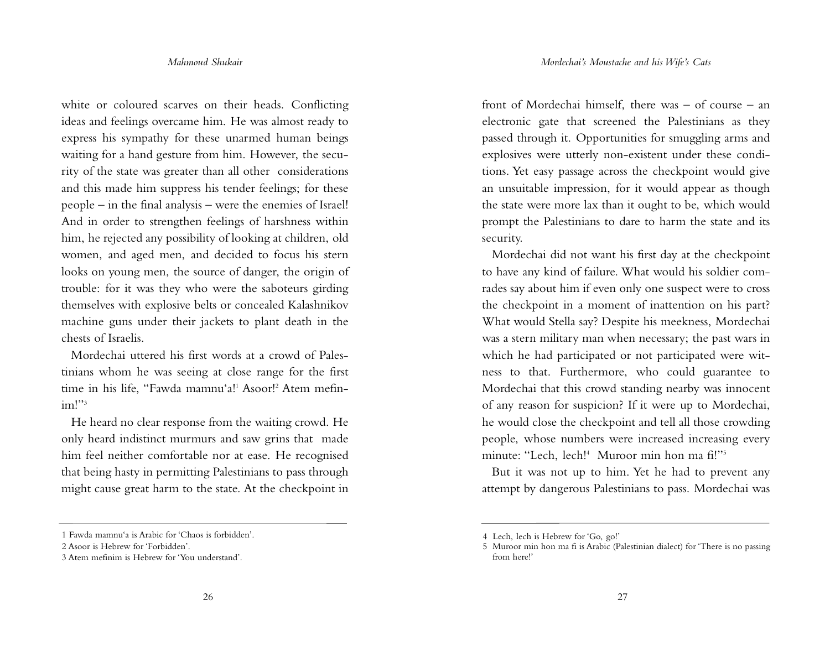white or coloured scarves on their heads. Conflicting ideas and feelings overcame him. He was almost ready to express his sympathy for these unarmed human beings waiting for a hand gesture from him. However, the security of the state was greater than all other considerations and this made him suppress his tender feelings; for these people – in the final analysis – were the enemies of Israel! And in order to strengthen feelings of harshness within him, he rejected any possibility of looking at children, old women, and aged men, and decided to focus his stern looks on young men, the source of danger, the origin of trouble: for it was they who were the saboteurs girding themselves with explosive belts or concealed Kalashnikov machine guns under their jackets to plant death in the chests of Israelis.

Mordechai uttered his first words at a crowd of Palestinians whom he was seeing at close range for the first time in his life, "Fawda mamnu'a!' Asoor!' Atem mefinim!"<sup>3</sup>

He heard no clear response from the waiting crowd. He only heard indistinct murmurs and saw grins that made him feel neither comfortable nor at ease. He recognised that being hasty in permitting Palestinians to pass through might cause great harm to the state. At the checkpoint in front of Mordechai himself, there was – of course – an electronic gate that screened the Palestinians as they passed through it. Opportunities for smuggling arms and explosives were utterly non-existent under these conditions. Yet easy passage across the checkpoint would give an unsuitable impression, for it would appear as though the state were more lax than it ought to be, which would prompt the Palestinians to dare to harm the state and its security.

Mordechai did not want his first day at the checkpoint to have any kind of failure. What would his soldier comrades say about him if even only one suspect were to cross the checkpoint in a moment of inattention on his part? What would Stella say? Despite his meekness, Mordechai was a stern military man when necessary; the past wars in which he had participated or not participated were witness to that. Furthermore, who could guarantee to Mordechai that this crowd standing nearby was innocent of any reason for suspicion? If it were up to Mordechai, he would close the checkpoint and tell all those crowding people, whose numbers were increased increasing every minute: "Lech, lech! <sup>4</sup> Muroor min hon ma fi!"5

But it was not up to him. Yet he had to prevent any attempt by dangerous Palestinians to pass. Mordechai was

<sup>1</sup> Fawda mamnu'a is Arabic for 'Chaos is forbidden'.

<sup>2</sup> Asoor is Hebrew for 'Forbidden'.

<sup>3</sup> Atem mefinim is Hebrew for 'You understand'.

<sup>4</sup> Lech, lech is Hebrew for 'Go, go!'

<sup>5</sup> Muroor min hon ma fi is Arabic (Palestinian dialect) for 'There is no passing from here!'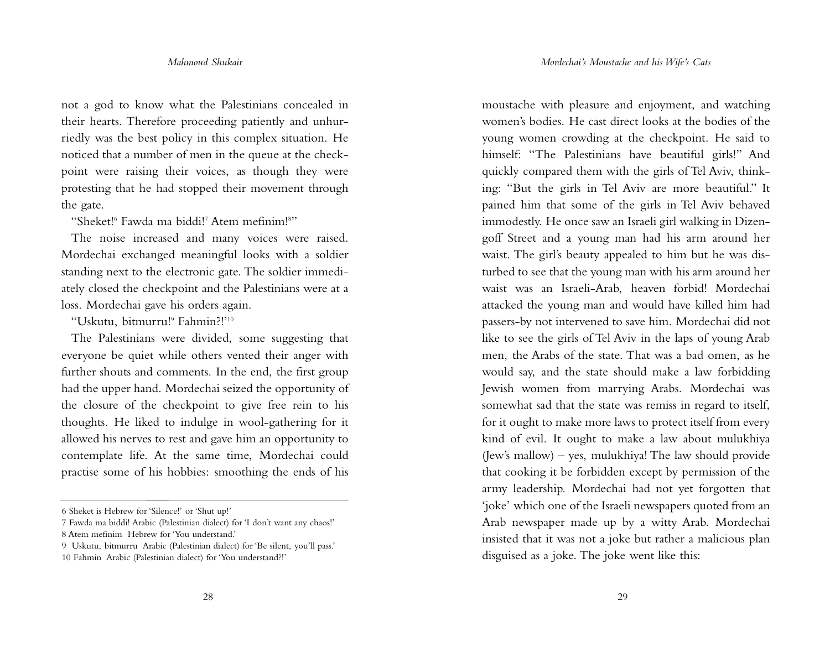not a god to know what the Palestinians concealed in their hearts. Therefore proceeding patiently and unhurriedly was the best policy in this complex situation. He noticed that a number of men in the queue at the checkpoint were raising their voices, as though they were protesting that he had stopped their movement through the gate.

"Sheket! <sup>6</sup> Fawda ma biddi! <sup>7</sup> Atem mefinim! 8 "

The noise increased and many voices were raised. Mordechai exchanged meaningful looks with a soldier standing next to the electronic gate. The soldier immediately closed the checkpoint and the Palestinians were at a loss. Mordechai gave his orders again.

"Uskutu, bitmurru! <sup>9</sup> Fahmin?!' 10

The Palestinians were divided, some suggesting that everyone be quiet while others vented their anger with further shouts and comments. In the end, the first group had the upper hand. Mordechai seized the opportunity of the closure of the checkpoint to give free rein to his thoughts. He liked to indulge in wool-gathering for it allowed his nerves to rest and gave him an opportunity to contemplate life. At the same time, Mordechai could practise some of his hobbies: smoothing the ends of his

moustache with pleasure and enjoyment, and watching women's bodies. He cast direct looks at the bodies of the young women crowding at the checkpoint. He said to himself: "The Palestinians have beautiful girls!" And quickly compared them with the girls of Tel Aviv, thinking: "But the girls in Tel Aviv are more beautiful." It pained him that some of the girls in Tel Aviv behaved immodestly. He once saw an Israeli girl walking in Dizengoff Street and a young man had his arm around her waist. The girl's beauty appealed to him but he was disturbed to see that the young man with his arm around her waist was an Israeli-Arab, heaven forbid! Mordechai attacked the young man and would have killed him had passers-by not intervened to save him. Mordechai did not like to see the girls of Tel Aviv in the laps of young Arab men, the Arabs of the state. That was a bad omen, as he would say, and the state should make a law forbidding Jewish women from marrying Arabs. Mordechai was somewhat sad that the state was remiss in regard to itself, for it ought to make more laws to protect itself from every kind of evil. It ought to make a law about mulukhiya (Jew's mallow) – yes, mulukhiya! The law should provide that cooking it be forbidden except by permission of the army leadership. Mordechai had not yet forgotten that 'joke' which one of the Israeli newspapers quoted from an Arab newspaper made up by a witty Arab. Mordechai insisted that it was not a joke but rather a malicious plan disguised as a joke. The joke went like this:

<sup>6</sup> Sheket is Hebrew for 'Silence!' or 'Shut up!'

<sup>7</sup> Fawda ma biddi! Arabic (Palestinian dialect) for 'I don't want any chaos!' 8 Atem mefinim Hebrew for 'You understand.'

<sup>9</sup> Uskutu, bitmurru Arabic (Palestinian dialect) for 'Be silent, you'll pass.' 10 Fahmin Arabic (Palestinian dialect) for 'You understand?!'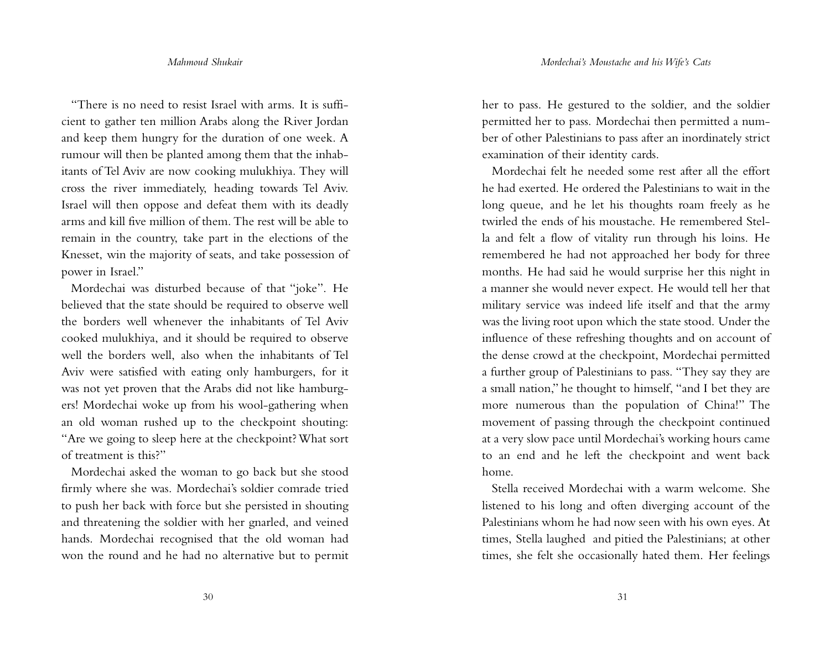"There is no need to resist Israel with arms. It is sufficient to gather ten million Arabs along the River Jordan and keep them hungry for the duration of one week. A rumour will then be planted among them that the inhabitants of Tel Aviv are now cooking mulukhiya. They will cross the river immediately, heading towards Tel Aviv. Israel will then oppose and defeat them with its deadly arms and kill five million of them. The rest will be able to remain in the country, take part in the elections of the Knesset, win the majority of seats, and take possession of power in Israel."

Mordechai was disturbed because of that "joke". He believed that the state should be required to observe well the borders well whenever the inhabitants of Tel Aviv cooked mulukhiya, and it should be required to observe well the borders well, also when the inhabitants of Tel Aviv were satisfied with eating only hamburgers, for it was not yet proven that the Arabs did not like hamburgers! Mordechai woke up from his wool-gathering when an old woman rushed up to the checkpoint shouting: "Are we going to sleep here at the checkpoint?What sort of treatment is this?"

Mordechai asked the woman to go back but she stood firmly where she was. Mordechai's soldier comrade tried to push her back with force but she persisted in shouting and threatening the soldier with her gnarled, and veined hands. Mordechai recognised that the old woman had won the round and he had no alternative but to permit her to pass. He gestured to the soldier, and the soldier permitted her to pass. Mordechai then permitted a number of other Palestinians to pass after an inordinately strict examination of their identity cards.

Mordechai felt he needed some rest after all the effort he had exerted. He ordered the Palestinians to wait in the long queue, and he let his thoughts roam freely as he twirled the ends of his moustache. He remembered Stella and felt a flow of vitality run through his loins. He remembered he had not approached her body for three months. He had said he would surprise her this night in a manner she would never expect. He would tell her that military service was indeed life itself and that the army was the living root upon which the state stood. Under the influence of these refreshing thoughts and on account of the dense crowd at the checkpoint, Mordechai permitted a further group of Palestinians to pass. "They say they are a small nation," he thought to himself, "and I bet they are more numerous than the population of China!" The movement of passing through the checkpoint continued at a very slow pace until Mordechai's working hours came to an end and he left the checkpoint and went back home.

Stella received Mordechai with a warm welcome. She listened to his long and often diverging account of the Palestinians whom he had now seen with his own eyes. At times, Stella laughed and pitied the Palestinians; at other times, she felt she occasionally hated them. Her feelings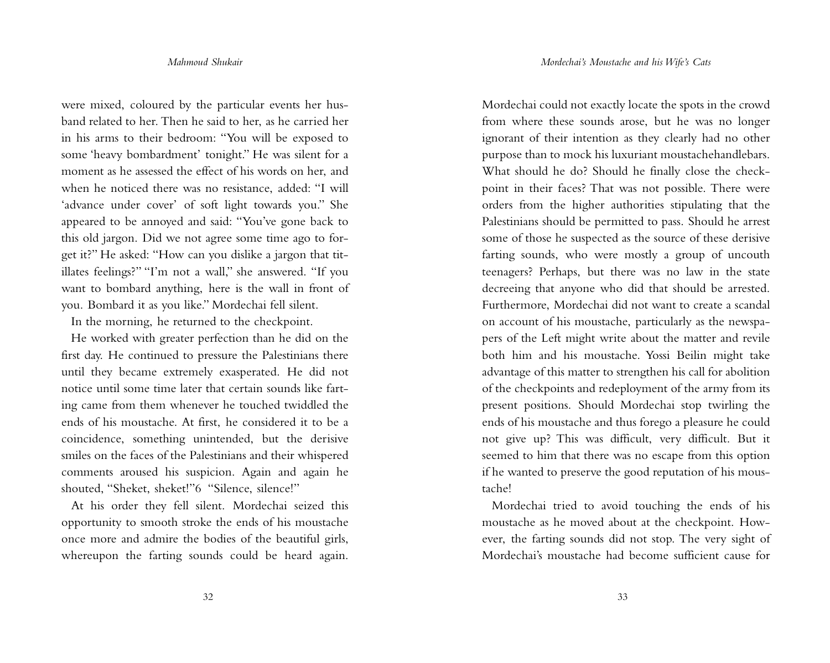were mixed, coloured by the particular events her husband related to her. Then he said to her, as he carried her in his arms to their bedroom: "You will be exposed to some 'heavy bombardment' tonight." He was silent for a moment as he assessed the effect of his words on her, and when he noticed there was no resistance, added: "I will 'advance under cover' of soft light towards you." She appeared to be annoyed and said: "You've gone back to this old jargon. Did we not agree some time ago to forget it?" He asked: "How can you dislike a jargon that titillates feelings?" "I'm not a wall," she answered. "If you want to bombard anything, here is the wall in front of you. Bombard it as you like." Mordechai fell silent.

In the morning, he returned to the checkpoint.

He worked with greater perfection than he did on the first day. He continued to pressure the Palestinians there until they became extremely exasperated. He did not notice until some time later that certain sounds like farting came from them whenever he touched twiddled the ends of his moustache. At first, he considered it to be a coincidence, something unintended, but the derisive smiles on the faces of the Palestinians and their whispered comments aroused his suspicion. Again and again he shouted, "Sheket, sheket!"6 "Silence, silence!"

At his order they fell silent. Mordechai seized this opportunity to smooth stroke the ends of his moustache once more and admire the bodies of the beautiful girls, whereupon the farting sounds could be heard again.

Mordechai could not exactly locate the spots in the crowd from where these sounds arose, but he was no longer ignorant of their intention as they clearly had no other purpose than to mock his luxuriant moustachehandlebars. What should he do? Should he finally close the checkpoint in their faces? That was not possible. There were orders from the higher authorities stipulating that the Palestinians should be permitted to pass. Should he arrest some of those he suspected as the source of these derisive farting sounds, who were mostly a group of uncouth teenagers? Perhaps, but there was no law in the state decreeing that anyone who did that should be arrested. Furthermore, Mordechai did not want to create a scandal on account of his moustache, particularly as the newspapers of the Left might write about the matter and revile both him and his moustache. Yossi Beilin might take advantage of this matter to strengthen his call for abolition of the checkpoints and redeployment of the army from its present positions. Should Mordechai stop twirling the ends of his moustache and thus forego a pleasure he could not give up? This was difficult, very difficult. But it seemed to him that there was no escape from this option if he wanted to preserve the good reputation of his moustache!

Mordechai tried to avoid touching the ends of his moustache as he moved about at the checkpoint. However, the farting sounds did not stop. The very sight of Mordechai's moustache had become sufficient cause for